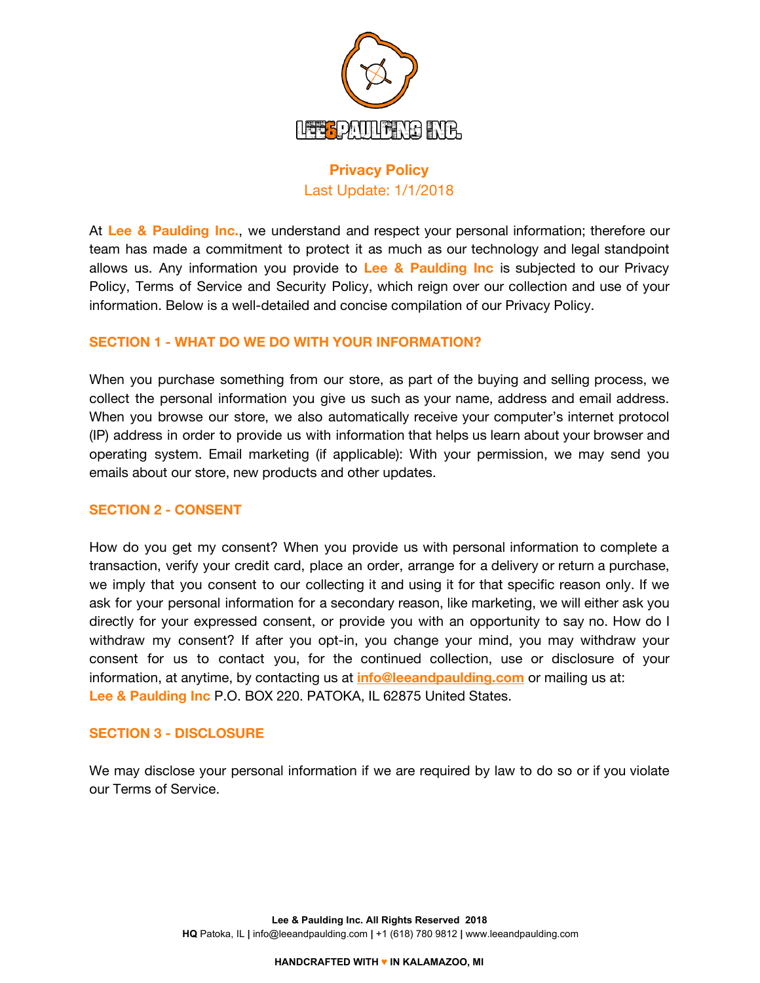

# **Privacy Policy** Last Update: 1/1/2018

At **Lee & Paulding Inc.**, we understand and respect your personal information; therefore our team has made a commitment to protect it as much as our technology and legal standpoint allows us. Any information you provide to **Lee & Paulding Inc** is subjected to our Privacy Policy, Terms of Service and Security Policy, which reign over our collection and use of your information. Below is a well-detailed and concise compilation of our Privacy Policy.

# **SECTION 1 - WHAT DO WE DO WITH YOUR INFORMATION?**

When you purchase something from our store, as part of the buying and selling process, we collect the personal information you give us such as your name, address and email address. When you browse our store, we also automatically receive your computer's internet protocol (IP) address in order to provide us with information that helps us learn about your browser and operating system. Email marketing (if applicable): With your permission, we may send you emails about our store, new products and other updates.

#### **SECTION 2 - CONSENT**

How do you get my consent? When you provide us with personal information to complete a transaction, verify your credit card, place an order, arrange for a delivery or return a purchase, we imply that you consent to our collecting it and using it for that specific reason only. If we ask for your personal information for a secondary reason, like marketing, we will either ask you directly for your expressed consent, or provide you with an opportunity to say no. How do I withdraw my consent? If after you opt-in, you change your mind, you may withdraw your consent for us to contact you, for the continued collection, use or disclosure of your information, at anytime, by contacting us at **info@leeandpaulding.com** or mailing us at: **Lee & Paulding Inc** P.O. BOX 220. PATOKA, IL 62875 United States.

#### **SECTION 3 - DISCLOSURE**

We may disclose your personal information if we are required by law to do so or if you violate our Terms of Service.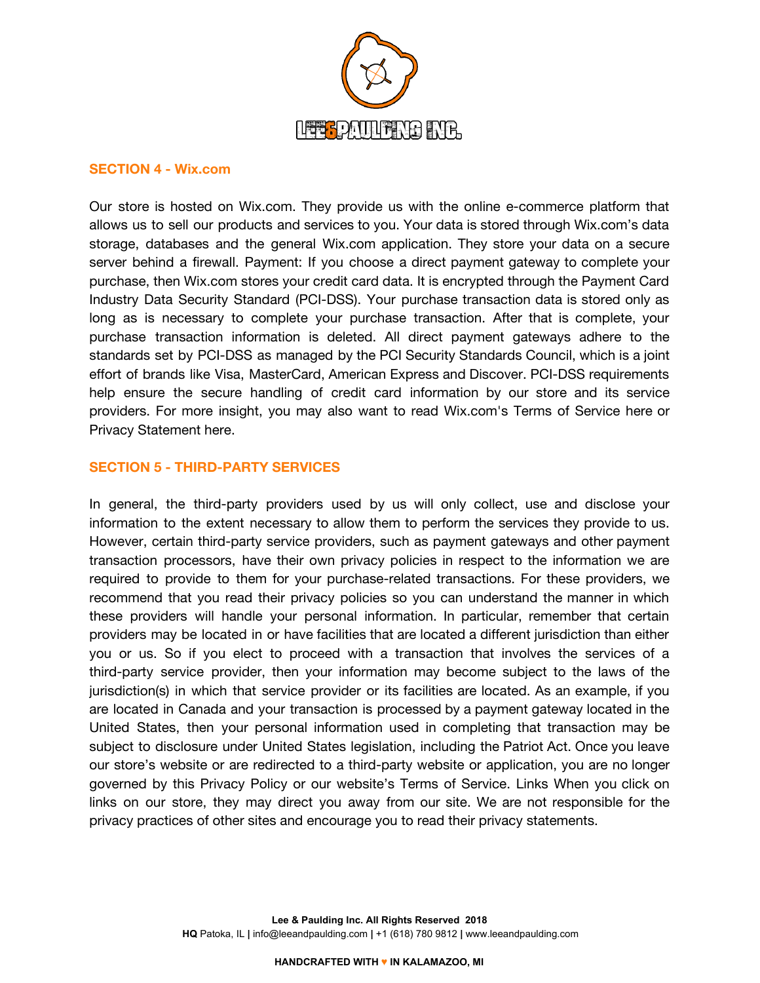

#### **SECTION 4 - Wix.com**

Our store is hosted on Wix.com. They provide us with the online e-commerce platform that allows us to sell our products and services to you. Your data is stored through Wix.com's data storage, databases and the general Wix.com application. They store your data on a secure server behind a firewall. Payment: If you choose a direct payment gateway to complete your purchase, then Wix.com stores your credit card data. It is encrypted through the Payment Card Industry Data Security Standard (PCI-DSS). Your purchase transaction data is stored only as long as is necessary to complete your purchase transaction. After that is complete, your purchase transaction information is deleted. All direct payment gateways adhere to the standards set by PCI-DSS as managed by the PCI Security Standards Council, which is a joint effort of brands like Visa, MasterCard, American Express and Discover. PCI-DSS requirements help ensure the secure handling of credit card information by our store and its service providers. For more insight, you may also want to read Wix.com's Terms of Service here or Privacy Statement here.

## **SECTION 5 - THIRD-PARTY SERVICES**

In general, the third-party providers used by us will only collect, use and disclose your information to the extent necessary to allow them to perform the services they provide to us. However, certain third-party service providers, such as payment gateways and other payment transaction processors, have their own privacy policies in respect to the information we are required to provide to them for your purchase-related transactions. For these providers, we recommend that you read their privacy policies so you can understand the manner in which these providers will handle your personal information. In particular, remember that certain providers may be located in or have facilities that are located a different jurisdiction than either you or us. So if you elect to proceed with a transaction that involves the services of a third-party service provider, then your information may become subject to the laws of the jurisdiction(s) in which that service provider or its facilities are located. As an example, if you are located in Canada and your transaction is processed by a payment gateway located in the United States, then your personal information used in completing that transaction may be subject to disclosure under United States legislation, including the Patriot Act. Once you leave our store's website or are redirected to a third-party website or application, you are no longer governed by this Privacy Policy or our website's Terms of Service. Links When you click on links on our store, they may direct you away from our site. We are not responsible for the privacy practices of other sites and encourage you to read their privacy statements.